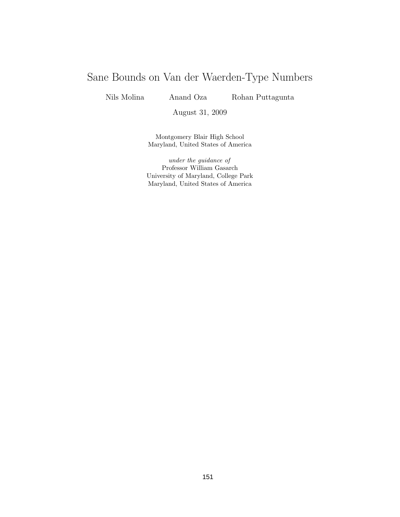# Sane Bounds on Van der Waerden-Type Numbers

Nils Molina Anand Oza Rohan Puttagunta

August 31, 2009

Montgomery Blair High School Maryland, United States of America

under the guidance of Professor William Gasarch University of Maryland, College Park Maryland, United States of America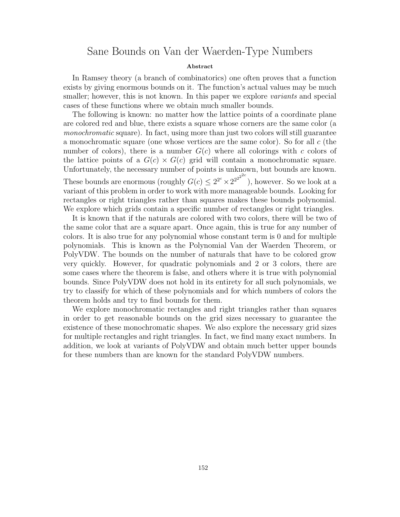## Sane Bounds on Van der Waerden-Type Numbers

### Abstract

In Ramsey theory (a branch of combinatorics) one often proves that a function exists by giving enormous bounds on it. The function's actual values may be much smaller; however, this is not known. In this paper we explore *variants* and special cases of these functions where we obtain much smaller bounds.

The following is known: no matter how the lattice points of a coordinate plane are colored red and blue, there exists a square whose corners are the same color (a monochromatic square). In fact, using more than just two colors will still guarantee a monochromatic square (one whose vertices are the same color). So for all c (the number of colors), there is a number  $G(c)$  where all colorings with c colors of the lattice points of a  $G(c) \times G(c)$  grid will contain a monochromatic square. Unfortunately, the necessary number of points is unknown, but bounds are known. These bounds are enormous (roughly  $G(c) \leq 2^{2^c} \times 2^{2^{2^{2^c}}}$ ), however. So we look at a variant of this problem in order to work with more manageable bounds. Looking for rectangles or right triangles rather than squares makes these bounds polynomial. We explore which grids contain a specific number of rectangles or right triangles.

It is known that if the naturals are colored with two colors, there will be two of the same color that are a square apart. Once again, this is true for any number of colors. It is also true for any polynomial whose constant term is 0 and for multiple polynomials. This is known as the Polynomial Van der Waerden Theorem, or PolyVDW. The bounds on the number of naturals that have to be colored grow very quickly. However, for quadratic polynomials and 2 or 3 colors, there are some cases where the theorem is false, and others where it is true with polynomial bounds. Since PolyVDW does not hold in its entirety for all such polynomials, we try to classify for which of these polynomials and for which numbers of colors the theorem holds and try to find bounds for them.

We explore monochromatic rectangles and right triangles rather than squares in order to get reasonable bounds on the grid sizes necessary to guarantee the existence of these monochromatic shapes. We also explore the necessary grid sizes for multiple rectangles and right triangles. In fact, we find many exact numbers. In addition, we look at variants of PolyVDW and obtain much better upper bounds for these numbers than are known for the standard PolyVDW numbers.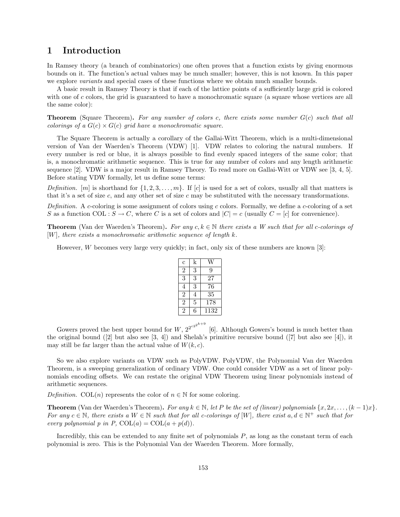## 1 Introduction

In Ramsey theory (a branch of combinatorics) one often proves that a function exists by giving enormous bounds on it. The function's actual values may be much smaller; however, this is not known. In this paper we explore *variants* and special cases of these functions where we obtain much smaller bounds.

A basic result in Ramsey Theory is that if each of the lattice points of a sufficiently large grid is colored with one of c colors, the grid is guaranteed to have a monochromatic square (a square whose vertices are all the same color):

**Theorem** (Square Theorem). For any number of colors c, there exists some number  $G(c)$  such that all colorings of a  $G(c) \times G(c)$  grid have a monochromatic square.

The Square Theorem is actually a corollary of the Gallai-Witt Theorem, which is a multi-dimensional version of Van der Waerden's Theorem (VDW) [1]. VDW relates to coloring the natural numbers. If every number is red or blue, it is always possible to find evenly spaced integers of the same color; that is, a monochromatic arithmetic sequence. This is true for any number of colors and any length arithmetic sequence [2]. VDW is a major result in Ramsey Theory. To read more on Gallai-Witt or VDW see [3, 4, 5]. Before stating VDW formally, let us define some terms:

Definition.  $[m]$  is shorthand for  $\{1, 2, 3, \ldots, m\}$ . If  $[c]$  is used for a set of colors, usually all that matters is that it's a set of size  $c$ , and any other set of size  $c$  may be substituted with the necessary transformations.

Definition. A c-coloring is some assignment of colors using c colors. Formally, we define a c-coloring of a set S as a function COL :  $S \to C$ , where C is a set of colors and  $|C| = c$  (usually  $C = [c]$  for convenience).

**Theorem** (Van der Waerden's Theorem). For any  $c, k \in \mathbb{N}$  there exists a W such that for all c-colorings of  $[W]$ , there exists a monochromatic arithmetic sequence of length  $k$ .

However, W becomes very large very quickly; in fact, only six of these numbers are known [3]:

| $\overline{c}$   | k |      |
|------------------|---|------|
| 2                | 3 | 9    |
| 3                | 3 | 27   |
| 4                | 3 | 76   |
| $\boldsymbol{2}$ | 4 | 35   |
| $\overline{2}$   | 5 | 178  |
| $\mathfrak{D}$   | 6 | 1132 |
|                  |   |      |

Gowers proved the best upper bound for  $W, 2^{2^{c2^{k+9}}}$ [6]. Although Gowers's bound is much better than the original bound ([2] but also see [3, 4]) and Shelah's primitive recursive bound ([7] but also see [4]), it may still be far larger than the actual value of  $W(k, c)$ .

So we also explore variants on VDW such as PolyVDW. PolyVDW, the Polynomial Van der Waerden Theorem, is a sweeping generalization of ordinary VDW. One could consider VDW as a set of linear polynomials encoding offsets. We can restate the original VDW Theorem using linear polynomials instead of arithmetic sequences.

Definition. COL(n) represents the color of  $n \in \mathbb{N}$  for some coloring.

**Theorem** (Van der Waerden's Theorem). For any  $k \in \mathbb{N}$ , let P be the set of (linear) polynomials  $\{x, 2x, \ldots, (k-1)x\}$ . For any  $c \in \mathbb{N}$ , there exists a  $W \in \mathbb{N}$  such that for all c-colorings of  $[W]$ , there exist  $a, d \in \mathbb{N}^+$  such that for every polynomial p in P,  $COL(a) = COL(a + p(d)).$ 

Incredibly, this can be extended to any finite set of polynomials  $P$ , as long as the constant term of each polynomial is zero. This is the Polynomial Van der Waerden Theorem. More formally,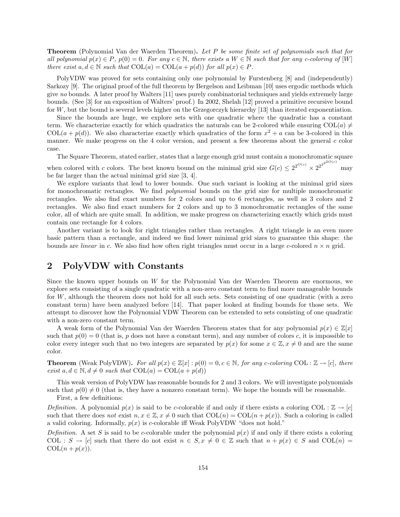**Theorem** (Polynomial Van der Waerden Theorem). Let P be some finite set of polynomials such that for all polynomial  $p(x) \in P$ ,  $p(0) = 0$ . For any  $c \in \mathbb{N}$ , there exists a  $W \in \mathbb{N}$  such that for any c-coloring of  $[W]$ there exist  $a, d \in \mathbb{N}$  such that  $COL(a) = COL(a + p(d))$  for all  $p(x) \in P$ .

PolyVDW was proved for sets containing only one polynomial by Furstenberg [8] and (independently) Sarkozy [9]. The original proof of the full theorem by Bergelson and Leibman [10] uses ergodic methods which give no bounds. A later proof by Walters [11] uses purely combinatorial techniques and yields extremely large bounds. (See [3] for an exposition of Walters' proof.) In 2002, Shelah [12] proved a primitive recursive bound for W, but the bound is several levels higher on the Grzegorczyk hierarchy [13] than iterated exponentiation.

Since the bounds are huge, we explore sets with one quadratic where the quadratic has a constant term. We characterize exactly for which quadratics the naturals can be 2-colored while ensuring COL(a)  $\neq$ COL( $a + p(d)$ ). We also characterize exactly which quadratics of the form  $x^2 + a$  can be 3-colored in this manner. We make progress on the 4 color version, and present a few theorems about the general  $c$  color case.

The Square Theorem, stated earlier, states that a large enough grid must contain a monochromatic square

when colored with c colors. The best known bound on the minimal grid size  $G(c) \leq 2^{2^{O(c)}} \times 2^{2^{2^{2^{O(c)}}}}$ may be far larger than the actual minimal grid size [3, 4].

We explore variants that lead to lower bounds. One such variant is looking at the minimal grid sizes for monochromatic rectangles. We find *polynomial* bounds on the grid size for multiple monochromatic rectangles. We also find exact numbers for 2 colors and up to 6 rectangles, as well as 3 colors and 2 rectangles. We also find exact numbers for 2 colors and up to 3 monochromatic rectangles of the same color, all of which are quite small. In addition, we make progress on characterizing exactly which grids must contain one rectangle for 4 colors.

Another variant is to look for right triangles rather than rectangles. A right triangle is an even more basic pattern than a rectangle, and indeed we find lower minimal grid sizes to guarantee this shape: the bounds are *linear* in c. We also find how often right triangles must occur in a large c-colored  $n \times n$  grid.

## 2 PolyVDW with Constants

Since the known upper bounds on W for the Polynomial Van der Waerden Theorem are enormous, we explore sets consisting of a single quadratic with a non-zero constant term to find more manageable bounds for W, although the theorem does not hold for all such sets. Sets consisting of one quadratic (with a zero constant term) have been analyzed before [14]. That paper looked at finding bounds for those sets. We attempt to discover how the Polynomial VDW Theorem can be extended to sets consisting of one quadratic with a non-zero constant term.

A weak form of the Polynomial Van der Waerden Theorem states that for any polynomial  $p(x) \in \mathbb{Z}[x]$ such that  $p(0) = 0$  (that is, p does not have a constant term), and any number of colors c, it is impossible to color every integer such that no two integers are separated by  $p(x)$  for some  $x \in \mathbb{Z}, x \neq 0$  and are the same color.

**Theorem** (Weak PolyVDW). For all  $p(x) \in \mathbb{Z}[x] : p(0) = 0, c \in \mathbb{N}$ , for any c-coloring COL :  $\mathbb{Z} \to [c]$ , there exist  $a, d \in \mathbb{N}, d \neq 0$  such that  $COL(a) = COL(a + p(d))$ 

This weak version of PolyVDW has reasonable bounds for 2 and 3 colors. We will investigate polynomials such that  $p(0) \neq 0$  (that is, they have a nonzero constant term). We hope the bounds will be reasonable.

First, a few definitions:

Definition. A polynomial  $p(x)$  is said to be c-colorable if and only if there exists a coloring COL :  $\mathbb{Z} \to |c|$ such that there does not exist  $n, x \in \mathbb{Z}, x \neq 0$  such that  $COL(n) = COL(n + p(x))$ . Such a coloring is called a valid coloring. Informally,  $p(x)$  is c-colorable iff Weak PolyVDW "does not hold."

Definition. A set S is said to be c-colorable under the polynomial  $p(x)$  if and only if there exists a coloring COL :  $S \to [c]$  such that there do not exist  $n \in S$ ,  $x \neq 0 \in \mathbb{Z}$  such that  $n + p(x) \in S$  and COL(n) =  $COL(n + p(x)).$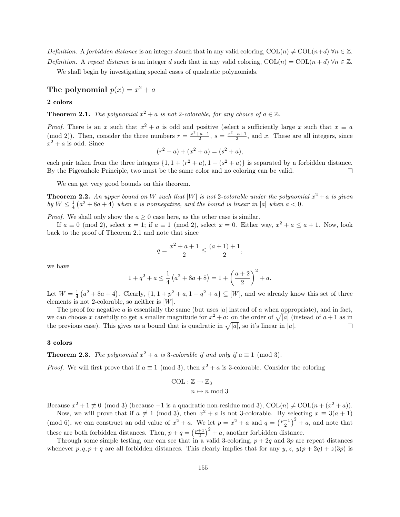Definition. A forbidden distance is an integer d such that in any valid coloring,  $COL(n) \neq COL(n+d) \,\forall n \in \mathbb{Z}$ . Definition. A repeat distance is an integer d such that in any valid coloring,  $COL(n) = COL(n+d) \,\forall n \in \mathbb{Z}$ .

We shall begin by investigating special cases of quadratic polynomials.

The polynomial  $p(x) = x^2 + a$ 

2 colors

**Theorem 2.1.** The polynomial  $x^2 + a$  is not 2-colorable, for any choice of  $a \in \mathbb{Z}$ .

*Proof.* There is an x such that  $x^2 + a$  is odd and positive (select a sufficiently large x such that  $x \equiv a$ (mod 2)). Then, consider the three numbers  $r = \frac{x^2+a-1}{2}$ ,  $s = \frac{x^2+a+1}{2}$ , and x. These are all integers, since  $x^2 + a$  is odd. Since

$$
(r2 + a) + (x2 + a) = (s2 + a),
$$

each pair taken from the three integers  $\{1, 1 + (r^2 + a), 1 + (s^2 + a)\}\$ is separated by a forbidden distance. By the Pigeonhole Principle, two must be the same color and no coloring can be valid.  $\Box$ 

We can get very good bounds on this theorem.

**Theorem 2.2.** An upper bound on W such that [W] is not 2-colorable under the polynomial  $x^2 + a$  is given by  $W \leq \frac{1}{4} (a^2 + 8a + 4)$  when a is nonnegative, and the bound is linear in |a| when  $a < 0$ .

*Proof.* We shall only show the  $a \geq 0$  case here, as the other case is similar.

If  $a \equiv 0 \pmod{2}$ , select  $x = 1$ ; if  $a \equiv 1 \pmod{2}$ , select  $x = 0$ . Either way,  $x^2 + a \le a + 1$ . Now, look back to the proof of Theorem 2.1 and note that since

$$
q = \frac{x^2 + a + 1}{2} \le \frac{(a+1) + 1}{2},
$$

we have

$$
1 + q^{2} + a \le \frac{1}{4} (a^{2} + 8a + 8) = 1 + \left(\frac{a+2}{2}\right)^{2} + a.
$$

Let  $W = \frac{1}{4} (a^2 + 8a + 4)$ . Clearly,  $\{1, 1 + p^2 + a, 1 + q^2 + a\} \subseteq [W]$ , and we already know this set of three elements is not 2-colorable, so neither is  $[W]$ .

The proof for negative a is essentially the same (but uses |a| instead of a when appropriate), and in fact, we can choose x carefully to get a smaller magnitude for  $x^2 + a$ : on the order of  $\sqrt{|a|}$  (instead of  $a + 1$  as in the previous case). This gives us a bound that is quadratic in  $\sqrt{|a|}$ , so it's linear in |a|.  $\Box$ 

### 3 colors

**Theorem 2.3.** The polynomial  $x^2 + a$  is 3-colorable if and only if  $a \equiv 1 \pmod{3}$ .

*Proof.* We will first prove that if  $a \equiv 1 \pmod{3}$ , then  $x^2 + a$  is 3-colorable. Consider the coloring

$$
COL : \mathbb{Z} \to \mathbb{Z}_3
$$

$$
n \mapsto n \mod
$$

Because  $x^2 + 1 \not\equiv 0 \pmod{3}$  (because -1 is a quadratic non-residue mod 3),  $COL(n) \neq COL(n + (x^2 + a))$ .

 $\sqrt{3}$ 

Now, we will prove that if  $a \neq 1 \pmod{3}$ , then  $x^2 + a$  is not 3-colorable. By selecting  $x \equiv 3(a + 1)$ (mod 6), we can construct an odd value of  $x^2 + a$ . We let  $p = x^2 + a$  and  $q = \left(\frac{p-1}{2}\right)^2 + a$ , and note that 2 these are both forbidden distances. Then,  $p + q = \left(\frac{p+1}{2}\right)^2 + a$ , another forbidden distance.

Through some simple testing, one can see that in a valid 3-coloring,  $p + 2q$  and 3p are repeat distances whenever  $p, q, p + q$  are all forbidden distances. This clearly implies that for any  $y, z, y(p + 2q) + z(3p)$  is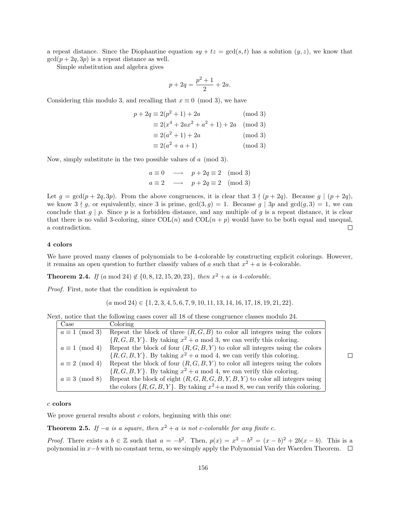a repeat distance. Since the Diophantine equation  $sy + tz = \gcd(s,t)$  has a solution  $(y, z)$ , we know that  $gcd(p + 2q, 3p)$  is a repeat distance as well.

Simple substitution and algebra gives

$$
p + 2q = \frac{p^2 + 1}{2} + 2a.
$$

Considering this modulo 3, and recalling that  $x \equiv 0 \pmod{3}$ , we have

$$
p + 2q \equiv 2(p^2 + 1) + 2a \tag{mod 3}
$$

$$
\equiv 2(x^4 + 2ax^2 + a^2 + 1) + 2a \pmod{3}
$$
  

$$
\equiv 2(a^2 + 1) + 2a \pmod{3}
$$

$$
= 2(a2 + a + 1)
$$
 (mod 3)  

$$
= 2(a2 + a + 1)
$$

$$
\equiv 2(a^2 + a + 1) \tag{mod 3}
$$

Now, simply substitute in the two possible values of a (mod 3).

$$
a \equiv 0 \quad \longrightarrow \quad p + 2q \equiv 2 \pmod{3}
$$
  

$$
a \equiv 2 \quad \longrightarrow \quad p + 2q \equiv 2 \pmod{3}
$$

Let  $g = \gcd(p + 2q, 3p)$ . From the above congruences, it is clear that  $3 \nmid (p + 2q)$ . Because  $g \mid (p + 2q)$ , we know  $3 \nmid g$ , or equivalently, since 3 is prime,  $gcd(3, g) = 1$ . Because g | 3p and  $gcd(g, 3) = 1$ , we can conclude that  $g | p$ . Since p is a forbidden distance, and any multiple of g is a repeat distance, it is clear that there is no valid 3-coloring, since  $COL(n)$  and  $COL(n + p)$  would have to be both equal and unequal, a contradiction.  $\Box$ 

#### 4 colors

We have proved many classes of polynomials to be 4-colorable by constructing explicit colorings. However, it remains an open question to further classify values of a such that  $x^2 + a$  is 4-colorable.

**Theorem 2.4.** If  $(a \mod 24) \notin \{0, 8, 12, 15, 20, 23\}$ , then  $x^2 + a$  is 4-colorable.

Proof. First, note that the condition is equivalent to

$$
(a \mod 24) \in \{1, 2, 3, 4, 5, 6, 7, 9, 10, 11, 13, 14, 16, 17, 18, 19, 21, 22\}.
$$

Next, notice that the following cases cover all 18 of these congruence classes modulo 24.

| Case                  | Coloring                                                                                |
|-----------------------|-----------------------------------------------------------------------------------------|
| $a \equiv 1 \pmod{3}$ | Repeat the block of three $(R, G, B)$ to color all integers using the colors            |
|                       | $\{R, G, B, Y\}$ . By taking $x^2 + a \mod 3$ , we can verify this coloring.            |
| $a \equiv 1 \pmod{4}$ | Repeat the block of four $(R, G, B, Y)$ to color all integers using the colors          |
|                       | $\{R, G, B, Y\}$ . By taking $x^2 + a \mod 4$ , we can verify this coloring.            |
| $a \equiv 2 \pmod{4}$ | Repeat the block of four $(R, G, B, Y)$ to color all integers using the colors          |
|                       | $\{R, G, B, Y\}$ . By taking $x^2 + a \mod 4$ , we can verify this coloring.            |
| $a \equiv 3 \pmod{8}$ | Repeat the block of eight $(R, G, R, G, B, Y, B, Y)$ to color all integers using        |
|                       | the colors $\{R, G, B, Y\}$ . By taking $x^2 + a \mod 8$ , we can verify this coloring. |

### c colors

We prove general results about  $c$  colors, beginning with this one:

**Theorem 2.5.** If  $-a$  is a square, then  $x^2 + a$  is not c-colorable for any finite c.

*Proof.* There exists a  $b \in \mathbb{Z}$  such that  $a = -b^2$ . Then,  $p(x) = x^2 - b^2 = (x - b)^2 + 2b(x - b)$ . This is a polynomial in x−b with no constant term, so we simply apply the Polynomial Van der Waerden Theorem.

 $\Box$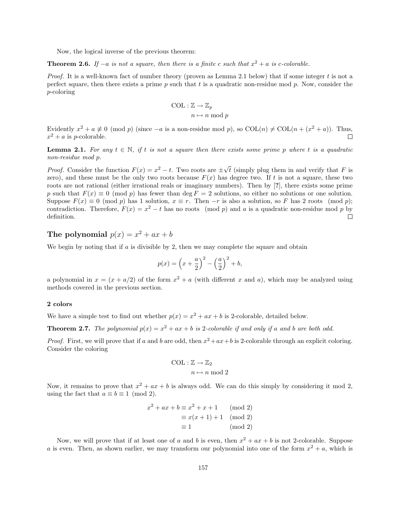Now, the logical inverse of the previous theorem:

**Theorem 2.6.** If  $-a$  is not a square, then there is a finite c such that  $x^2 + a$  is c-colorable.

*Proof.* It is a well-known fact of number theory (proven as Lemma 2.1 below) that if some integer t is not a perfect square, then there exists a prime  $p$  such that  $t$  is a quadratic non-residue mod  $p$ . Now, consider the p-coloring

$$
\mathrm{COL} : \mathbb{Z} \to \mathbb{Z}_p
$$

$$
n \mapsto n \bmod p
$$

Evidently  $x^2 + a \neq 0 \pmod{p}$  (since  $-a$  is a non-residue mod p), so  $COL(n) \neq COL(n + (x^2 + a))$ . Thus,  $x^2 + a$  is *p*-colorable.  $\Box$ 

**Lemma 2.1.** For any  $t \in \mathbb{N}$ , if t is not a square then there exists some prime p where t is a quadratic non-residue mod p.

*Proof.* Consider the function  $F(x) = x^2 - t$ . Two roots are  $\pm \sqrt{ }$  $\bar{t}$  (simply plug them in and verify that F is zero), and these must be the only two roots because  $F(x)$  has degree two. If t is not a square, these two roots are not rational (either irrational reals or imaginary numbers). Then by [?], there exists some prime p such that  $F(x) \equiv 0 \pmod{p}$  has fewer than deg  $F = 2$  solutions, so either no solutions or one solution. Suppose  $F(x) \equiv 0 \pmod{p}$  has 1 solution,  $x \equiv r$ . Then  $-r$  is also a solution, so F has 2 roots (mod p); contradiction. Therefore,  $F(x) = x^2 - t$  has no roots (mod p) and a is a quadratic non-residue mod p by definition.  $\Box$ 

## The polynomial  $p(x) = x^2 + ax + b$

We begin by noting that if  $a$  is divisible by 2, then we may complete the square and obtain

$$
p(x) = \left(x + \frac{a}{2}\right)^2 - \left(\frac{a}{2}\right)^2 + b,
$$

a polynomial in  $x = (x + a/2)$  of the form  $x^2 + a$  (with different x and a), which may be analyzed using methods covered in the previous section.

### 2 colors

We have a simple test to find out whether  $p(x) = x^2 + ax + b$  is 2-colorable, detailed below.

**Theorem 2.7.** The polynomial  $p(x) = x^2 + ax + b$  is 2-colorable if and only if a and b are both odd.

*Proof.* First, we will prove that if a and b are odd, then  $x^2 + ax + b$  is 2-colorable through an explicit coloring. Consider the coloring

$$
\text{COL} : \mathbb{Z} \to \mathbb{Z}_2
$$

$$
n \mapsto n \bmod 2
$$

Now, it remains to prove that  $x^2 + ax + b$  is always odd. We can do this simply by considering it mod 2, using the fact that  $a \equiv b \equiv 1 \pmod{2}$ .

$$
x2 + ax + b \equiv x2 + x + 1 \pmod{2}
$$

$$
\equiv x(x+1) + 1 \pmod{2}
$$

$$
\equiv 1 \qquad \text{(mod 2)}
$$

Now, we will prove that if at least one of a and b is even, then  $x^2 + ax + b$  is not 2-colorable. Suppose a is even. Then, as shown earlier, we may transform our polynomial into one of the form  $x^2 + a$ , which is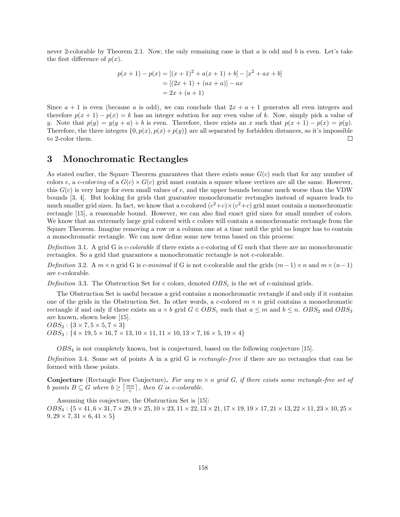never 2-colorable by Theorem 2.1. Now, the only remaining case is that a is odd and b is even. Let's take the first difference of  $p(x)$ .

$$
p(x + 1) - p(x) = [(x + 1)^{2} + a(x + 1) + b] - [x^{2} + ax + b]
$$
  
= [(2x + 1) + (ax + a)] - ax  
= 2x + (a + 1)

Since  $a + 1$  is even (because a is odd), we can conclude that  $2x + a + 1$  generates all even integers and therefore  $p(x + 1) - p(x) = k$  has an integer solution for any even value of k. Now, simply pick a value of y. Note that  $p(y) = y(y + a) + b$  is even. Therefore, there exists an x such that  $p(x + 1) - p(x) = p(y)$ . Therefore, the three integers  $\{0, p(x), p(x) + p(y)\}\$  are all separated by forbidden distances, so it's impossible to 2-color them.  $\Box$ 

## 3 Monochromatic Rectangles

As stated earlier, the Square Theorem guarantees that there exists some  $G(c)$  such that for any number of colors c, a c-coloring of a  $G(c) \times G(c)$  grid must contain a square whose vertices are all the same. However, this  $G(c)$  is very large for even small values of c, and the upper bounds become much worse than the VDW bounds [3, 4]. But looking for grids that guarantee monochromatic rectangles instead of squares leads to much smaller grid sizes. In fact, we know that a c-colored  $(c^2+c)\times(c^2+c)$  grid must contain a monochromatic rectangle [15], a reasonable bound. However, we can also find exact grid sizes for small number of colors. We know that an extremely large grid colored with c colors will contain a monochromatic rectangle from the Square Theorem. Imagine removing a row or a column one at a time until the grid no longer has to contain a monochromatic rectangle. We can now define some new terms based on this process:

Definition 3.1. A grid G is  $c$ -colorable if there exists a c-coloring of G such that there are no monochromatic rectangles. So a grid that guarantees a monochromatic rectangle is not c-colorable.

Definition 3.2. A  $m \times n$  grid G is c-minimal if G is not c-colorable and the grids  $(m-1) \times n$  and  $m \times (n-1)$ are c-colorable.

Definition 3.3. The Obstruction Set for c colors, denoted  $OBS_c$  is the set of c-minimal grids.

The Obstruction Set is useful because a grid contains a monochromatic rectangle if and only if it contains one of the grids in the Obstruction Set. In other words, a c-colored  $m \times n$  grid contains a monochromatic rectangle if and only if there exists an  $a \times b$  grid  $G \in OBS_c$  such that  $a \leq m$  and  $b \leq n$ .  $OBS_2$  and  $OBS_3$ are known, shown below [15].

 $OBS_2$ : { $3 \times 7, 5 \times 5, 7 \times 3$ }  $OBS_3$ : { $4 \times 19, 5 \times 16, 7 \times 13, 10 \times 11, 11 \times 10, 13 \times 7, 16 \times 5, 19 \times 4$ }

 $OBS_4$  is not completely known, but is conjectured, based on the following conjecture [15].

Definition 3.4. Some set of points A in a grid G is rectangle-free if there are no rectangles that can be formed with these points.

**Conjecture** (Rectangle Free Conjecture). For any  $m \times n$  grid G, if there exists some rectangle-free set of b points  $B \subseteq G$  where  $b \geq \lceil \frac{mn}{c} \rceil$ , then G is c-colorable.

Assuming this conjecture, the Obstruction Set is [15]:  $OBS_4$ :  $\{5 \times 41, 6 \times 31, 7 \times 29, 9 \times 25, 10 \times 23, 11 \times 22, 13 \times 21, 17 \times 19, 19 \times 17, 21 \times 13, 22 \times 11, 23 \times 10, 25 \times 11, 22 \times 11, 23 \times 10, 25 \times 11, 25 \times 11, 25 \times 11, 25 \times 11, 25 \times 11, 25 \times 11, 25 \times 11, 25 \times 11, 25 \times 11$  $9, 29 \times 7, 31 \times 6, 41 \times 5$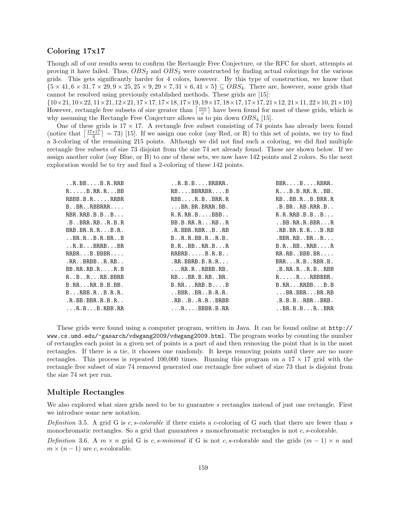## Coloring 17x17

Though all of our results seem to confirm the Rectangle Free Conjecture, or the RFC for short, attempts at proving it have failed. Thus,  $OBS_2$  and  $OBS_3$  were constructed by finding actual colorings for the various grids. This gets significantly harder for 4 colors, however. By this type of construction, we know that  ${5 \times 41, 6 \times 31, 7 \times 29, 9 \times 25, 25 \times 9, 29 \times 7, 31 \times 6, 41 \times 5} \subseteq OBS_4$ . There are, however, some grids that cannot be resolved using previously established methods. These grids are [15]:

 $\{10\times21, 10\times22, 11\times21, 12\times21, 17\times17, 17\times18, 17\times19, 19\times17, 18\times17, 17\times17, 21\times12, 21\times11, 22\times10, 21\times10\}$ However, rectangle free subsets of size greater than  $\left\lceil \frac{mn}{c} \right\rceil$  have been found for most of these grids, which is why assuming the Rectangle Free Conjecture allows us to pin down  $OBS_4$  [15].

One of these grids is  $17 \times 17$ . A rectangle free subset consisting of 74 points has already been found (notice that  $\left[\frac{17*17}{4}\right] = 73$ ) [15]. If we assign one color (say Red, or R) to this set of points, we try to find a 3-coloring of the remaining 215 points. Although we did not find such a coloring, we did find multiple rectangle free subsets of size 73 disjoint from the size 74 set already found. These are shown below. If we assign another color (say Blue, or B) to one of these sets, we now have 142 points and 2 colors. So the next exploration would be to try and find a 2-coloring of these 142 points.

| $\ldots$ R.BB $\ldots$ .B.R.RRB          | $.R.B.B. \ldots BRBR.$          | $BBRB$ $RBR.$                                                   |
|------------------------------------------|---------------------------------|-----------------------------------------------------------------|
| $R \ldots$ . B.RR.RBB                    | RBBBRRBRB                       | $R \ldots B \ldotp B \ldotp R \ldotp R \ldotp \ldotp BB \ldotp$ |
| $RBBB.B.R. \ldots, RRBR$                 | $RBB$ $R$ . $B$ $BRR$ . $R$     | RBBB.RB.BRR.R                                                   |
| $B \ldots BR \ldots RBBRRR \ldots$       | $\ldots$ BR.BR.BRRR.BB.         | .B.BR. R.B.RR.B.                                                |
| RBR.RRB.B.B.B.B.                         | R.R.R.R.BBBB                    | R.R.RRB.B.BB                                                    |
| $.B.$ . BRR. RB. $.R.B.R$                | BB.B.R.R.R. R.B.A.              | .BB.RR.R.BBRR                                                   |
| $BRB.BR.R.R.$ $B.R.$                     | .R.BBR.RBRB.A.B.                | RB.BR.R.RB.RB                                                   |
| .BR.R.B.B.R.B.R.B.B.                     | B.A.R.B.B.R.A.B.B.              | $.BBR.RBBRR.$                                                   |
| $\ldots$ R.B. $\ldots$ BRRB. $\ldots$ BR | B.RBBRR.BR                      | B.RBBRRB. R                                                     |
| $RRBR \ldots B$ . BBBR                   | RRBRBB.R.B                      | $RR.RB.$ BBB. $BR.$ $\ldots$                                    |
| $RR.$ BRBB. $.R.RB.$ .                   | RR.BBRB.B.R.R                   | $BRR \ldots R.B \ldots RBR.B.$                                  |
| $BB.RR.RB.R. \ldots R.B$                 | $\ldots$ RR.R.RBBB.RB.          | .B.R.R.R.A.B.A.B.B.B.                                           |
| R. . B. . R. RB. BBRB                    | RBBR.B.RBBR.                    | $R \ldots R \ldots R$ BBBBBR.                                   |
| B.RRRR.B.B.B.B.                          | B.RRRRB.BB                      | B.RRRRBBB.B                                                     |
| $B \ldots RBB.R \ldots B.R.R.$           | $.BBR.$ . BR. $.B.R.R.$         | $\ldots$ BR.BBR $\ldots$ BR.RB                                  |
| R.BB.BBR.R.B.R.                          | $R$ B. $B$ . $R$ . $R$ . $BRBB$ | $,R.B.B., RBR.$ $BR.B.$                                         |
| $\ldots$ R.B. $\ldots$ B.RBB.RR          | $\ldots$ R. $\ldots$ BBBR.B.RR  | .B. B. B. R. . B. R.                                            |
|                                          |                                 |                                                                 |

These grids were found using a computer program, written in Java. It can be found online at http:// www.cs.umd.edu/~gasarch/vdwgang2009/vdwgang2009.html. The program works by counting the number of rectangles each point in a given set of points is a part of and then removing the point that is in the most rectangles. If there is a tie, it chooses one randomly. It keeps removing points until there are no more rectangles. This process is repeated 100,000 times. Running this program on a  $17 \times 17$  grid with the rectangle free subset of size 74 removed generated one rectangle free subset of size 73 that is disjoint from the size 74 set per run.

### Multiple Rectangles

We also explored what sizes grids need to be to guarantee s rectangles instead of just one rectangle. First we introduce some new notation.

Definition 3.5. A grid G is c, s-colorable if there exists a c-coloring of G such that there are fewer than s monochromatic rectangles. So a grid that guarantees  $s$  monochromatic rectangles is not  $c$ ,  $s$ -colorable.

Definition 3.6. A  $m \times n$  grid G is c, s-minimal if G is not c, s-colorable and the grids  $(m-1) \times n$  and  $m \times (n-1)$  are c, s-colorable.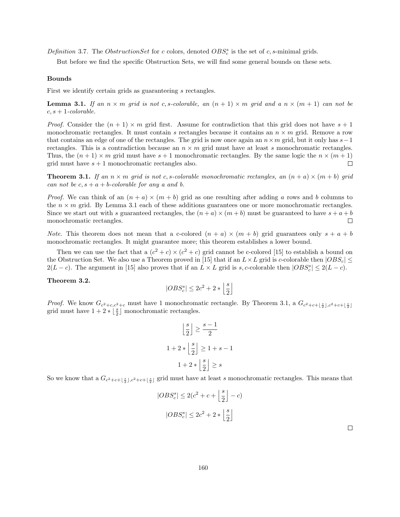Definition 3.7. The ObstructionSet for c colors, denoted  $OBS_c^s$  is the set of c, s-minimal grids.

But before we find the specific Obstruction Sets, we will find some general bounds on these sets.

#### Bounds

First we identify certain grids as guaranteeing s rectangles.

**Lemma 3.1.** If an  $n \times m$  grid is not c, s-colorable, an  $(n + 1) \times m$  grid and a  $n \times (m + 1)$  can not be  $c, s + 1$ -colorable.

*Proof.* Consider the  $(n + 1) \times m$  grid first. Assume for contradiction that this grid does not have  $s + 1$ monochromatic rectangles. It must contain s rectangles because it contains an  $n \times m$  grid. Remove a row that contains an edge of one of the rectangles. The grid is now once again an  $n \times m$  grid, but it only has  $s-1$ rectangles. This is a contradiction because an  $n \times m$  grid must have at least s monochromatic rectangles. Thus, the  $(n+1) \times m$  grid must have  $s+1$  monochromatic rectangles. By the same logic the  $n \times (m+1)$ grid must have  $s + 1$  monochromatic rectangles also.  $\Box$ 

**Theorem 3.1.** If an  $n \times m$  grid is not c, s-colorable monochromatic rectangles, an  $(n + a) \times (m + b)$  grid can not be  $c, s + a + b$ -colorable for any a and b.

*Proof.* We can think of an  $(n + a) \times (m + b)$  grid as one resulting after adding a rows and b columns to the  $n \times m$  grid. By Lemma 3.1 each of these additions guarantees one or more monochromatic rectangles. Since we start out with s guaranteed rectangles, the  $(n+a) \times (m+b)$  must be guaranteed to have  $s+a+b$ monochromatic rectangles.  $\Box$ 

*Note.* This theorem does not mean that a c-colored  $(n + a) \times (m + b)$  grid guarantees only  $s + a + b$ monochromatic rectangles. It might guarantee more; this theorem establishes a lower bound.

Then we can use the fact that a  $(c^2+c) \times (c^2+c)$  grid cannot be c-colored [15] to establish a bound on the Obstruction Set. We also use a Theorem proved in [15] that if an  $L \times L$  grid is c-colorable then  $|OBS_c|$  $2(L-c)$ . The argument in [15] also proves that if an  $L \times L$  grid is s, c-colorable then  $|OBS_c^s| \leq 2(L-c)$ .

#### Theorem 3.2.

$$
|OBS_c^s| \leq 2c^2 + 2*\left\lfloor \frac{s}{2} \right\rfloor
$$

*Proof.* We know  $G_{c^2+c,c^2+c}$  must have 1 monochromatic rectangle. By Theorem 3.1, a  $G_{c^2+c+\lfloor \frac{s}{2} \rfloor,c^2+c+\lfloor \frac{s}{2} \rfloor}$ grid must have  $1 + 2 * \left\lfloor \frac{s}{2} \right\rfloor$  monochromatic rectangles.

$$
\left\lfloor \frac{s}{2} \right\rfloor \ge \frac{s-1}{2}
$$
  

$$
1 + 2 * \left\lfloor \frac{s}{2} \right\rfloor \ge 1 + s - 1
$$
  

$$
1 + 2 * \left\lfloor \frac{s}{2} \right\rfloor \ge s
$$

So we know that a  $G_{c^2+c+\lfloor \frac{s}{2} \rfloor, c^2+c+\lfloor \frac{s}{2} \rfloor}$  grid must have at least s monochromatic rectangles. This means that

$$
|OBS_c^s| \le 2(c^2 + c + \left\lfloor \frac{s}{2} \right\rfloor - c)
$$

$$
|OBS_c^s| \le 2c^2 + 2 * \left\lfloor \frac{s}{2} \right\rfloor
$$

 $\Box$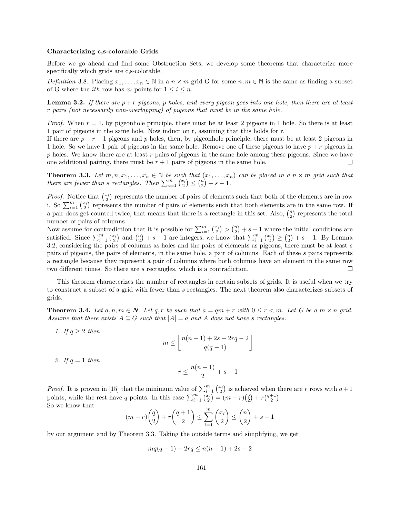#### Characterizing c,s-colorable Grids

Before we go ahead and find some Obstruction Sets, we develop some theorems that characterize more specifically which grids are c,s-colorable.

Definition 3.8. Placing  $x_1, \ldots, x_n \in \mathbb{N}$  in a  $n \times m$  grid G for some  $n, m \in \mathbb{N}$  is the same as finding a subset of G where the *ith* row has  $x_i$  points for  $1 \leq i \leq n$ .

**Lemma 3.2.** If there are  $p + r$  pigeons, p holes, and every pigeon goes into one hole, then there are at least r pairs (not necessarily non-overlapping) of pigeons that must be in the same hole.

*Proof.* When  $r = 1$ , by pigeonhole principle, there must be at least 2 pigeons in 1 hole. So there is at least 1 pair of pigeons in the same hole. Now induct on r, assuming that this holds for r.

If there are  $p + r + 1$  pigeons and p holes, then, by pigeonhole principle, there must be at least 2 pigeons in 1 hole. So we have 1 pair of pigeons in the same hole. Remove one of these pigeons to have  $p + r$  pigeons in  $p$  holes. We know there are at least  $r$  pairs of pigeons in the same hole among these pigeons. Since we have one additional pairing, there must be  $r + 1$  pairs of pigeons in the same hole.  $\Box$ 

**Theorem 3.3.** Let  $m, n, x_1, \ldots, x_n \in \mathbb{N}$  be such that  $(x_1, \ldots, x_n)$  can be placed in a  $n \times m$  grid such that there are fewer than s rectangles. Then  $\sum_{i=1}^{m} {x_i \choose 2} \leq {n \choose 2} + s - 1$ .

*Proof.* Notice that  $\binom{x_i}{2}$  represents the number of pairs of elements such that both of the elements are in row i. So  $\sum_{i=1}^{m} \binom{x_i}{2}$  represents the number of pairs of elements such that both elements are in the same row. If a pair does get counted twice, that means that there is a rectangle in this set. Also,  $\binom{n}{2}$  represents the total number of pairs of columns.

Now assume for contradiction that it is possible for  $\sum_{i=1}^{m} {\binom{x_i}{2}} > {\binom{n}{2}} + s - 1$  where the initial conditions are satisfied. Since  $\sum_{i=1}^{m} {x_i \choose 2}$  and  ${n \choose 2} + s - 1$  are integers, we know that  $\sum_{i=1}^{m} {x_i \choose 2} \ge {n \choose 2} + s - 1$ . By Lemma 3.2, considering the pairs of columns as holes and the pairs of elements as pigeons, there must be at least s pairs of pigeons, the pairs of elements, in the same hole, a pair of columns. Each of these s pairs represents a rectangle because they represent a pair of columns where both columns have an element in the same row two different times. So there are s rectangles, which is a contradiction.  $\Box$ 

This theorem characterizes the number of rectangles in certain subsets of grids. It is useful when we try to construct a subset of a grid with fewer than s rectangles. The next theorem also characterizes subsets of grids.

**Theorem 3.4.** Let  $a, n, m \in \mathbb{N}$ . Let  $q, r$  be such that  $a = qm + r$  with  $0 \leq r \leq m$ . Let G be a  $m \times n$  grid. Assume that there exists  $A \subseteq G$  such that  $|A| = a$  and A does not have s rectangles.

1. If  $q \geq 2$  then  $m \leq \left\lfloor \frac{n(n-1)+2s-2rq-2}{q(q-1)} \right\rfloor$ 

2. If  $q=1$  then

$$
r \le \frac{n(n-1)}{2} + s - 1
$$

*Proof.* It is proven in [15] that the minimum value of  $\sum_{i=1}^{m} {x_i \choose 2}$  is achieved when there are r rows with  $q+1$ points, while the rest have q points. In this case  $\sum_{i=1}^{m} {x_i \choose 2} = (m-r){q \choose 2} + r{q+1 \choose 2}$ . So we know that

$$
(m-r)\binom{q}{2} + r\binom{q+1}{2} \le \sum_{i=1}^{m} \binom{x_i}{2} \le \binom{n}{2} + s - 1
$$

by our argument and by Theorem 3.3. Taking the outside terms and simplifying, we get

$$
mq(q-1) + 2rq \le n(n-1) + 2s - 2
$$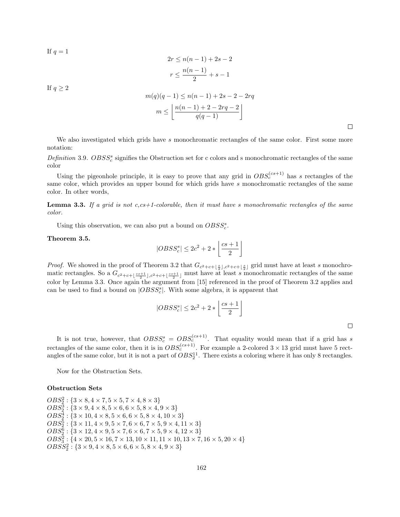If  $q = 1$ 

$$
2r \le n(n-1) + 2s - 2
$$

$$
r \le \frac{n(n-1)}{2} + s - 1
$$

If  $q \geq 2$ 

$$
m(q)(q-1) \le n(n-1) + 2s - 2 - 2rq
$$
  

$$
m \le \left\lfloor \frac{n(n-1) + 2 - 2rq - 2}{q(q-1)} \right\rfloor
$$

 $\Box$ 

We also investigated which grids have s monochromatic rectangles of the same color. First some more notation:

Definition 3.9.  $OBSS_c^s$  signifies the Obstruction set for c colors and s monochromatic rectangles of the same color

Using the pigeonhole principle, it is easy to prove that any grid in  $OBS_c^{(cs+1)}$  has s rectangles of the same color, which provides an upper bound for which grids have s monochromatic rectangles of the same color. In other words,

**Lemma 3.3.** If a grid is not  $c, cs+1$ -colorable, then it must have s monochromatic rectangles of the same color.

Using this observation, we can also put a bound on  $OBSS^s_c$ .

Theorem 3.5.

$$
|OBSS^s_c| \leq 2c^2 + 2*\left\lfloor \frac{cs+1}{2} \right\rfloor
$$

*Proof.* We showed in the proof of Theorem 3.2 that  $G_{c^2+c+\lfloor \frac{s}{2} \rfloor,c^2+c+\lfloor \frac{s}{2} \rfloor}$  grid must have at least s monochromatic rectangles. So a  $G_{c^2+c+\lfloor \frac{cs+1}{2} \rfloor, c^2+c+\lfloor \frac{cs+1}{2} \rfloor}$  must have at least s monochromatic rectangles of the same color by Lemma 3.3. Once again the argument from [15] referenced in the proof of Theorem 3.2 applies and can be used to find a bound on  $|OBSS_c^s|$ . With some algebra, it is apparent that

$$
|OBSS_c^s| \le 2c^2 + 2 * \left\lfloor \frac{cs + 1}{2} \right\rfloor
$$

 $\Box$ 

It is not true, however, that  $O B S S_c^s = O B S_c^{(cs+1)}$ . That equality would mean that if a grid has s rectangles of the same color, then it is in  $OBS_c^{(cs+1)}$ . For example a 2-colored  $3 \times 13$  grid must have 5 rectangles of the same color, but it is not a part of  $OBS_2^{11}$ . There exists a coloring where it has only 8 rectangles.

Now for the Obstruction Sets.

### Obstruction Sets

 $OBS_2^2$ : { $3 \times 8, 4 \times 7, 5 \times 5, 7 \times 4, 8 \times 3$ }  $OBS_2^3$ : { $3 \times 9, 4 \times 8, 5 \times 6, 6 \times 5, 8 \times 4, 9 \times 3$ }  $OBS_2^4$ : { $3 \times 10, 4 \times 8, 5 \times 6, 6 \times 5, 8 \times 4, 10 \times 3$ }  $OBS_2^5: \{3 \times 11, 4 \times 9, 5 \times 7, 6 \times 6, 7 \times 5, 9 \times 4, 11 \times 3\}$  $OBS_2^6$ : { $3 \times 12, 4 \times 9, 5 \times 7, 6 \times 6, 7 \times 5, 9 \times 4, 12 \times 3$ }  $OBS_3^2$ : { $4 \times 20, 5 \times 16, 7 \times 13, 10 \times 11, 11 \times 10, 13 \times 7, 16 \times 5, 20 \times 4$ }  $OBSS_2^2: \{3 \times 9, 4 \times 8, 5 \times 6, 6 \times 5, 8 \times 4, 9 \times 3\}$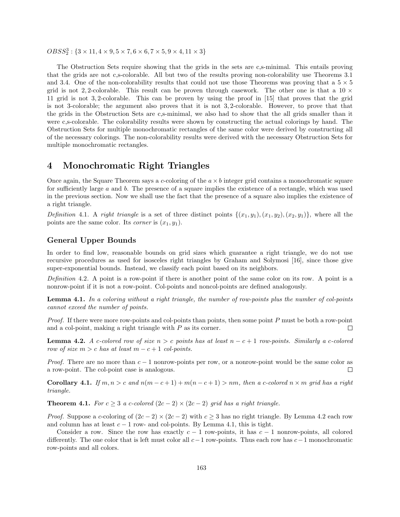$O B S S_2^3$ : { $3 \times 11, 4 \times 9, 5 \times 7, 6 \times 6, 7 \times 5, 9 \times 4, 11 \times 3$ }

The Obstruction Sets require showing that the grids in the sets are c,s-minimal. This entails proving that the grids are not c,s-colorable. All but two of the results proving non-colorability use Theorems 3.1 and 3.4. One of the non-colorability results that could not use those Theorems was proving that a  $5 \times 5$ grid is not 2, 2-colorable. This result can be proven through casework. The other one is that a  $10 \times$ 11 grid is not 3, 2-colorable. This can be proven by using the proof in [15] that proves that the grid is not 3-colorable; the argument also proves that it is not 3, 2-colorable. However, to prove that that the grids in the Obstruction Sets are c,s-minimal, we also had to show that the all grids smaller than it were c,s-colorable. The colorability results were shown by constructing the actual colorings by hand. The Obstruction Sets for multiple monochromatic rectangles of the same color were derived by constructing all of the necessary colorings. The non-colorability results were derived with the necessary Obstruction Sets for multiple monochromatic rectangles.

## 4 Monochromatic Right Triangles

Once again, the Square Theorem says a c-coloring of the  $a \times b$  integer grid contains a monochromatic square for sufficiently large a and b. The presence of a square implies the existence of a rectangle, which was used in the previous section. Now we shall use the fact that the presence of a square also implies the existence of a right triangle.

Definition 4.1. A right triangle is a set of three distinct points  $\{(x_1, y_1), (x_1, y_2), (x_2, y_1)\}$ , where all the points are the same color. Its *corner* is  $(x_1, y_1)$ .

## General Upper Bounds

In order to find low, reasonable bounds on grid sizes which guarantee a right triangle, we do not use recursive procedures as used for isosceles right triangles by Graham and Solymosi [16], since those give super-exponential bounds. Instead, we classify each point based on its neighbors.

Definition 4.2. A point is a row-point if there is another point of the same color on its row. A point is a nonrow-point if it is not a row-point. Col-points and noncol-points are defined analogously.

Lemma 4.1. In a coloring without a right triangle, the number of row-points plus the number of col-points cannot exceed the number of points.

Proof. If there were more row-points and col-points than points, then some point P must be both a row-point and a col-point, making a right triangle with  $P$  as its corner.  $\Box$ 

**Lemma 4.2.** A c-colored row of size  $n > c$  points has at least  $n - c + 1$  row-points. Similarly a c-colored row of size  $m > c$  has at least  $m - c + 1$  col-points.

*Proof.* There are no more than  $c - 1$  nonrow-points per row, or a nonrow-point would be the same color as a row-point. The col-point case is analogous.  $\Box$ 

**Corollary 4.1.** If  $m, n > c$  and  $n(m - c + 1) + m(n - c + 1) > nm$ , then a c-colored  $n \times m$  grid has a right triangle.

**Theorem 4.1.** For  $c \geq 3$  a c-colored  $(2c - 2) \times (2c - 2)$  grid has a right triangle.

*Proof.* Suppose a c-coloring of  $(2c - 2) \times (2c - 2)$  with  $c \ge 3$  has no right triangle. By Lemma 4.2 each row and column has at least  $c - 1$  row- and col-points. By Lemma 4.1, this is tight.

Consider a row. Since the row has exactly  $c - 1$  row-points, it has  $c - 1$  nonrow-points, all colored differently. The one color that is left must color all  $c-1$  row-points. Thus each row has  $c-1$  monochromatic row-points and all colors.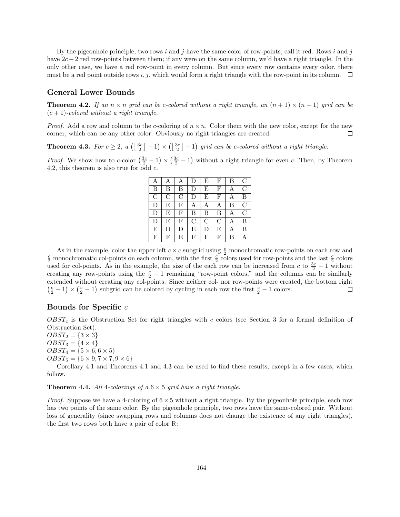By the pigeonhole principle, two rows i and j have the same color of row-points; call it red. Rows i and j have 2c − 2 red row-points between them; if any were on the same column, we'd have a right triangle. In the only other case, we have a red row-point in every column. But since every row contains every color, there must be a red point outside rows i, j, which would form a right triangle with the row-point in its column.  $\Box$ 

## General Lower Bounds

**Theorem 4.2.** If an  $n \times n$  grid can be c-colored without a right triangle, an  $(n + 1) \times (n + 1)$  grid can be  $(c+1)$ -colored without a right triangle.

*Proof.* Add a row and column to the c-coloring of  $n \times n$ . Color them with the new color, except for the new corner, which can be any other color. Obviously no right triangles are created.  $\Box$ 

**Theorem 4.3.** For  $c \geq 2$ ,  $a\left(\left\lfloor \frac{3c}{2} \right\rfloor - 1\right) \times \left(\left\lfloor \frac{3c}{2} \right\rfloor - 1\right)$  grid can be c-colored without a right triangle.

*Proof.* We show how to c-color  $(\frac{3c}{2} - 1) \times (\frac{3c}{2} - 1)$  without a right triangle for even c. Then, by Theorem 4.2, this theorem is also true for odd  $c$ .

| Α              |              | Α            | D | E | F           | Β | $\mathcal{C}$  |
|----------------|--------------|--------------|---|---|-------------|---|----------------|
| Β              | В            | Β            | D | E | F           | A | $\mathcal{C}$  |
| $\overline{C}$ | C            | C            | D | E | F           | Α | В              |
| D              | E            | $\mathbf{F}$ | Α | Α | Α           | B | $\overline{C}$ |
| D              | E            | $_{\rm F}$   | Β | Β | Β           | Α | С              |
| D              | E            | F            | C | С | $\rm _C$    | Α | В              |
| E              | D            | D            | E | D | E           | Α | B              |
| F              | $\mathbf{F}$ | Ε            | F | F | $\mathbf F$ | В | A              |

As in the example, color the upper left  $c \times c$  subgrid using  $\frac{c}{2}$  monochromatic row-points on each row and  $\frac{c}{2}$  monochromatic col-points on each column, with the first  $\frac{c}{2}$  colors used for row-points and the last  $\frac{c}{2}$  colors used for col-points. As in the example, the size of the each row can be increased from c to  $\frac{3c}{2} - 1$  without creating any row-points using the  $\frac{c}{2} - 1$  remaining "row-point colors," and the columns can be similarly extended without creating any col-points. Since neither col- nor row-points were created, the bottom right  $\left(\frac{c}{2} - 1\right) \times \left(\frac{c}{2} - 1\right)$  subgrid can be colored by cycling in each row the first  $\frac{c}{2} - 1$  colors.  $\Box$ 

### Bounds for Specific c

 $O़ones (see Section 3 for a formal definition of  $O$ ) and  $C$  right triangles with c colors (see Section 3 for a formal definition of$ Obstruction Set).

 $OBST_2 = \{3 \times 3\}$  $OBST_3 = \{4 \times 4\}$  $OBST_4 = \{5 \times 6, 6 \times 5\}$  $OBST_5 = \{6 \times 9, 7 \times 7, 9 \times 6\}$ 

Corollary 4.1 and Theorems 4.1 and 4.3 can be used to find these results, except in a few cases, which follow.

**Theorem 4.4.** All 4-colorings of a  $6 \times 5$  grid have a right triangle.

*Proof.* Suppose we have a 4-coloring of  $6 \times 5$  without a right triangle. By the pigeonhole principle, each row has two points of the same color. By the pigeonhole principle, two rows have the same-colored pair. Without loss of generality (since swapping rows and columns does not change the existence of any right triangles), the first two rows both have a pair of color R: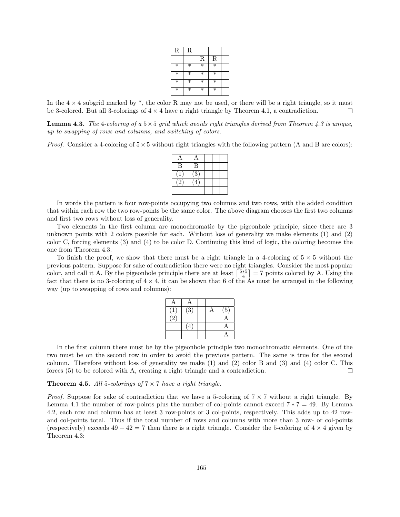| $_{\rm R}$        | R      |                   |                   |  |
|-------------------|--------|-------------------|-------------------|--|
|                   |        | $\mathbf R$       | $\mathbf R$       |  |
| $\ast$            | $\ast$ | $\overline{\ast}$ | $\overline{\ast}$ |  |
| $\ast$            | $\ast$ | $\ast$            | $\ast$            |  |
| $\ast$            | $\ast$ | $\ast$            | $\ast$            |  |
| $\overline{\ast}$ | $\ast$ | $\ast$            | $\ast$            |  |

In the  $4 \times 4$  subgrid marked by \*, the color R may not be used, or there will be a right triangle, so it must be 3-colored. But all 3-colorings of  $4 \times 4$  have a right triangle by Theorem 4.1, a contradiction.  $\Box$ 

**Lemma 4.3.** The 4-coloring of a  $5\times 5$  grid which avoids right triangles derived from Theorem 4.3 is unique, up to swapping of rows and columns, and switching of colors.

*Proof.* Consider a 4-coloring of  $5 \times 5$  without right triangles with the following pattern (A and B are colors):

| B               | B              |  |  |
|-----------------|----------------|--|--|
|                 | $\overline{3}$ |  |  |
| $\cdot 2 \cdot$ | ⊿              |  |  |
|                 |                |  |  |

In words the pattern is four row-points occupying two columns and two rows, with the added condition that within each row the two row-points be the same color. The above diagram chooses the first two columns and first two rows without loss of generality.

Two elements in the first column are monochromatic by the pigeonhole principle, since there are 3 unknown points with 2 colors possible for each. Without loss of generality we make elements (1) and (2) color C, forcing elements (3) and (4) to be color D. Continuing this kind of logic, the coloring becomes the one from Theorem 4.3.

To finish the proof, we show that there must be a right triangle in a 4-coloring of  $5 \times 5$  without the previous pattern. Suppose for sake of contradiction there were no right triangles. Consider the most popular color, and call it A. By the pigeonhole principle there are at least  $\left\lceil \frac{5*5}{4} \right\rceil = 7$  points colored by A. Using the fact that there is no 3-coloring of  $4 \times 4$ , it can be shown that 6 of the As must be arranged in the following way (up to swapping of rows and columns):

| А                         | Α                |  |                  |
|---------------------------|------------------|--|------------------|
|                           | $\overline{(3)}$ |  | $\overline{(5)}$ |
| $\langle \bar{2} \rangle$ |                  |  |                  |
|                           | $\overline{4}$   |  | Α                |
|                           |                  |  |                  |

In the first column there must be by the pigeonhole principle two monochromatic elements. One of the two must be on the second row in order to avoid the previous pattern. The same is true for the second column. Therefore without loss of generality we make (1) and (2) color B and (3) and (4) color C. This forces (5) to be colored with A, creating a right triangle and a contradiction.  $\Box$ 

#### **Theorem 4.5.** All 5-colorings of  $7 \times 7$  have a right triangle.

*Proof.* Suppose for sake of contradiction that we have a 5-coloring of  $7 \times 7$  without a right triangle. By Lemma 4.1 the number of row-points plus the number of col-points cannot exceed  $7 * 7 = 49$ . By Lemma 4.2, each row and column has at least 3 row-points or 3 col-points, respectively. This adds up to 42 rowand col-points total. Thus if the total number of rows and columns with more than 3 row- or col-points (respectively) exceeds  $49 - 42 = 7$  then there is a right triangle. Consider the 5-coloring of  $4 \times 4$  given by Theorem 4.3: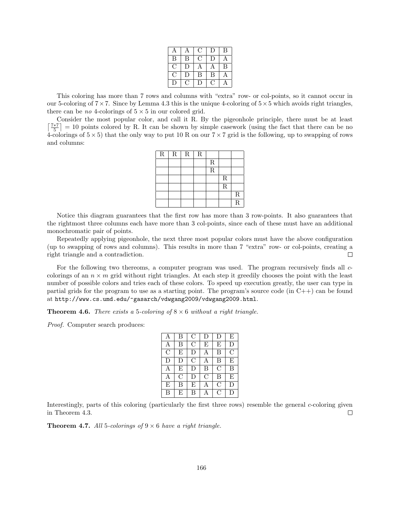| А      |        | €. | $\Box$ | B |
|--------|--------|----|--------|---|
| B      | В      | С. | $\Box$ | Α |
| ( )    | I)     | Α  |        | B |
| ( )    | $\Box$ | B  | В      | Α |
| $\Box$ | O.     | IJ | O,     |   |

This coloring has more than 7 rows and columns with "extra" row- or col-points, so it cannot occur in our 5-coloring of  $7 \times 7$ . Since by Lemma 4.3 this is the unique 4-coloring of  $5 \times 5$  which avoids right triangles, there can be *no* 4-colorings of  $5 \times 5$  in our colored grid.

Consider the most popular color, and call it R. By the pigeonhole principle, there must be at least  $\left\lceil \frac{7*7}{5} \right\rceil = 10$  points colored by R. It can be shown by simple casework (using the fact that there can be no 4-colorings of  $5 \times 5$ ) that the only way to put 10 R on our  $7 \times 7$  grid is the following, up to swapping of rows and columns:

| ${\bf R}$ | ${\bf R}$ | $\mathbf R$ | $\mathbf R$ |                         |                         |                         |
|-----------|-----------|-------------|-------------|-------------------------|-------------------------|-------------------------|
|           |           |             |             | $\mathbf R$             |                         |                         |
|           |           |             |             | $\overline{\mathrm{R}}$ |                         |                         |
|           |           |             |             |                         | $\mathbf R$             |                         |
|           |           |             |             |                         | $\overline{\mathrm{R}}$ |                         |
|           |           |             |             |                         |                         | $\overline{R}$          |
|           |           |             |             |                         |                         | $\overline{\mathrm{R}}$ |

Notice this diagram guarantees that the first row has more than 3 row-points. It also guarantees that the rightmost three columns each have more than 3 col-points, since each of these must have an additional monochromatic pair of points.

Repeatedly applying pigeonhole, the next three most popular colors must have the above configuration (up to swapping of rows and columns). This results in more than 7 "extra" row- or col-points, creating a right triangle and a contradiction.  $\Box$ 

For the following two thereoms, a computer program was used. The program recursively finds all  $c$ colorings of an  $n \times m$  grid without right triangles. At each step it greedily chooses the point with the least number of possible colors and tries each of these colors. To speed up execution greatly, the user can type in partial grids for the program to use as a starting point. The program's source code (in  $C++$ ) can be found at http://www.cs.umd.edu/~gasarch/vdwgang2009/vdwgang2009.html.

**Theorem 4.6.** There exists a 5-coloring of  $8 \times 6$  without a right triangle.

Proof. Computer search produces:

| A             | B       | $\rm C$ | D             | D             | E             |
|---------------|---------|---------|---------------|---------------|---------------|
| Α             | B       | $\rm C$ | Ε             | Ε             | D             |
| $\mathcal{C}$ | E       | D       | A             | B             | $\mathcal{C}$ |
| D             | D       | $\rm C$ | A             | B             | E             |
| А             | E       | D       | B             | $\mathcal{C}$ | B             |
| A             | $\rm C$ | D       | $\mathcal{C}$ | B             | E             |
| E             | B       | E       |               | С             | D             |
| B             | F,      | В       |               | C             | D             |

Interestingly, parts of this coloring (particularly the first three rows) resemble the general c-coloring given in Theorem 4.3.  $\Box$ 

**Theorem 4.7.** All 5-colorings of  $9 \times 6$  have a right triangle.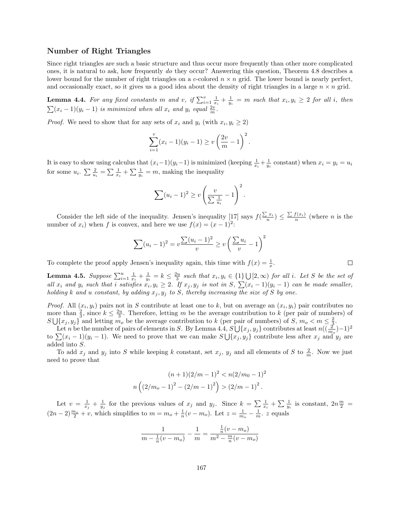## Number of Right Triangles

Since right triangles are such a basic structure and thus occur more frequently than other more complicated ones, it is natural to ask, how frequently do they occur? Answering this question, Theorem 4.8 describes a lower bound for the number of right triangles on a c-colored  $n \times n$  grid. The lower bound is nearly perfect, and occasionally exact, so it gives us a good idea about the density of right triangles in a large  $n \times n$  grid.

**Lemma 4.4.** For any fixed constants m and v, if  $\sum_{i=1}^{v} \frac{1}{x_i} + \frac{1}{y_i} = m$  such that  $x_i, y_i \geq 2$  for all i, then  $\sum_{i=1}^{n} (x_i - 1)(y_i - 1)$  is minimized when all  $x_i$  and  $y_i$  equal  $\frac{2v}{m}$ .

*Proof.* We need to show that for any sets of  $x_i$  and  $y_i$  (with  $x_i, y_i \ge 2$ )

$$
\sum_{i=1}^{v} (x_i - 1)(y_i - 1) \ge v \left(\frac{2v}{m} - 1\right)^2.
$$

It is easy to show using calculus that  $(x_i-1)(y_i-1)$  is minimized (keeping  $\frac{1}{x_i} + \frac{1}{y_i}$  constant) when  $x_i = y_i = u_i$ for some  $u_i$ .  $\sum \frac{2}{u_i} = \sum \frac{1}{x_i} + \sum \frac{1}{y_i} = m$ , making the inequality

$$
\sum (u_i - 1)^2 \ge v \left(\frac{v}{\sum \frac{1}{u_i}} - 1\right)^2.
$$

Consider the left side of the inequality. Jensen's inequality  $\left[\frac{1}{2}\right]$  says  $f\left(\frac{\sum x_i}{n}\right) \leq \frac{\sum f(x_i)}{n}$  (where *n* is the number of  $x_i$ ) when f is convex, and here we use  $f(x) = (x - 1)^2$ :

$$
\sum_{i} (u_i - 1)^2 = v \frac{\sum_{i} (u_i - 1)^2}{v} \ge v \left(\frac{\sum_{i} u_i}{v} - 1\right)^2
$$

To complete the proof apply Jensen's inequality again, this time with  $f(x) = \frac{1}{x}$ .

**Lemma 4.5.** Suppose  $\sum_{i=1}^{u} \frac{1}{x_i} + \frac{1}{y_i} = k \leq \frac{2u}{3}$  such that  $x_i, y_i \in \{1\} \cup [2, \infty)$  for all i. Let S be the set of all  $x_i$  and  $y_i$  such that i satisfies  $x_i, y_i \geq 2$ . If  $x_j, y_j$  is not in S,  $\sum (x_i - 1)(y_i - 1)$  can be made smaller, holding k and u constant, by adding  $x_j, y_j$  to S, thereby increasing the size of S by one.

*Proof.* All  $(x_i, y_i)$  pairs not in S contribute at least one to k, but on average an  $(x_i, y_i)$  pair contributes no more than  $\frac{2}{3}$ , since  $k \leq \frac{2u}{3}$ . Therefore, letting m be the average contribution to k (per pair of numbers) of  $S \bigcup \{x_j, y_j\}$  and letting  $m_o$  be the average contribution to k (per pair of numbers) of S,  $m_o < m \leq \frac{2}{3}$ .

Let n be the number of pairs of elements in S. By Lemma 4.4,  $S \bigcup \{x_j, y_j\}$  contributes at least  $n((\frac{2}{m_o})-1)^2$ to  $\sum (x_i - 1)(y_i - 1)$ . We need to prove that we can make  $S \bigcup \{x_j, y_j\}$  contribute less after  $x_j$  and  $y_j$  are added into S.

To add  $x_j$  and  $y_j$  into S while keeping k constant, set  $x_j$ ,  $y_j$  and all elements of S to  $\frac{2}{m}$ . Now we just need to prove that

$$
(n+1)(2/m-1)^{2} < n(2/m_{0} - 1)^{2}
$$
\n
$$
n\left((2/m_{o} - 1)^{2} - (2/m - 1)^{2}\right) > (2/m - 1)^{2}.
$$

Let  $v = \frac{1}{x_j} + \frac{1}{y_j}$  for the previous values of  $x_j$  and  $y_j$ . Since  $k = \sum \frac{1}{x_i} + \sum \frac{1}{y_i}$  is constant,  $2n\frac{m}{2}$  $(2n-2)\frac{m_o}{2}+v$ , which simplifies to  $m=m_o+\frac{1}{n}(v-m_o)$ . Let  $z=\frac{1}{m_o}-\frac{1}{m}$ . z equals

$$
\frac{1}{m - \frac{1}{n}(v - m_o)} - \frac{1}{m} = \frac{\frac{1}{n}(v - m_o)}{m^2 - \frac{m}{n}(v - m_o)}
$$

 $\Box$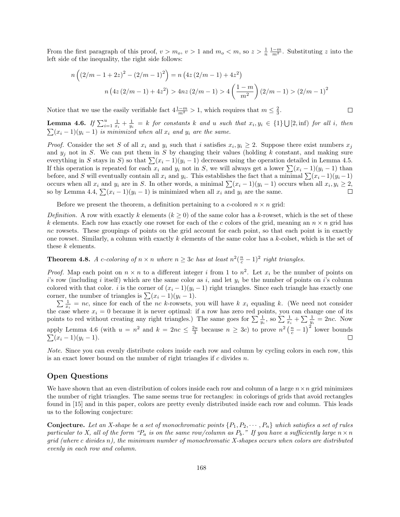From the first paragraph of this proof,  $v > m_o$ ,  $v > 1$  and  $m_o < m$ , so  $z > \frac{1}{n} \frac{1-m}{m^2}$ . Substituting z into the left side of the inequality, the right side follows:

$$
n\left((2/m - 1 + 2z)^2 - (2/m - 1)^2\right) = n\left(4z\left(2/m - 1\right) + 4z^2\right)
$$

$$
n\left(4z\left(2/m - 1\right) + 4z^2\right) > 4nz\left(2/m - 1\right) > 4\left(\frac{1-m}{m^2}\right)\left(2/m - 1\right) > \left(2/m - 1\right)^2
$$

 $\Box$ 

Notice that we use the easily verifiable fact  $4\frac{1-m}{m^2} > 1$ , which requires that  $m \leq \frac{2}{3}$ .

**Lemma 4.6.** If  $\sum_{i=1}^{u} \frac{1}{x_i} + \frac{1}{y_i} = k$  for constants k and u such that  $x_i, y_i \in \{1\} \cup [2, \inf)$  for all i, then  $\sum_{i=1}^{n} (x_i - 1)(y_i - 1)$  is minimized when all  $x_i$  and  $y_i$  are the same.

*Proof.* Consider the set S of all  $x_i$  and  $y_i$  such that i satisfies  $x_i, y_i \geq 2$ . Suppose there exist numbers  $x_j$ and  $y_i$  not in S. We can put them in S by changing their values (holding k constant, and making sure everything in S stays in S) so that  $\sum (x_i - 1)(y_i - 1)$  decreases using the operation detailed in Lemma 4.5. If this operation is repeated for each  $x_i$  and  $y_i$  not in S, we will always get a lower  $\sum (x_i - 1)(y_i - 1)$  than before, and S will eventually contain all  $x_i$  and  $y_i$ . This establishes the fact that a minimal  $\sum (x_i - 1)(y_i - 1)$ occurs when all  $x_i$  and  $y_i$  are in S. In other words, a minimal  $\sum (x_i - 1)(y_i - 1)$  occurs when all  $x_i, y_i \ge 2$ , so by Lemma 4.4,  $\sum (x_i - 1)(y_i - 1)$  is minimized when all  $x_i$  and  $y_i$  are the same.  $\Box$ 

Before we present the theorem, a definition pertaining to a c-colored  $n \times n$  grid:

Definition. A row with exactly k elements  $(k \geq 0)$  of the same color has a k-rowset, which is the set of these k elements. Each row has exactly one rowset for each of the c colors of the grid, meaning an  $n \times n$  grid has nc rowsets. These groupings of points on the grid account for each point, so that each point is in exactly one rowset. Similarly, a column with exactly k elements of the same color has a k-colset, which is the set of these k elements.

**Theorem 4.8.** A c-coloring of  $n \times n$  where  $n \geq 3c$  has at least  $n^2(\frac{n}{c} - 1)^2$  right triangles.

*Proof.* Map each point on  $n \times n$  to a different integer i from 1 to  $n^2$ . Let  $x_i$  be the number of points on i's row (including i itself) which are the same color as i, and let  $y_i$  be the number of points on i's column colored with that color. i is the corner of  $(x_i - 1)(y_i - 1)$  right triangles. Since each triangle has exactly one corner, the number of triangles is  $\sum (x_i - 1)(y_i - 1)$ .

 $\sum \frac{1}{x_i}$  = nc, since for each of the nc k-rowsets, you will have k  $x_i$  equaling k. (We need not consider the case where  $x_i = 0$  because it is never optimal: if a row has zero red points, you can change one of its points to red without creating any right triangles.) The same goes for  $\sum \frac{1}{y_i}$ , so  $\sum \frac{1}{x_i} + \sum \frac{1}{y_i} = 2nc$ . Now apply Lemma 4.6 (with  $u = n^2$  and  $k = 2nc \le \frac{2u}{3}$  because  $n \ge 3c$ ) to prove  $n^2(\frac{n}{c}-1)^2$  lower bounds  $\sum (x_i - 1)(y_i - 1).$ П

Note. Since you can evenly distribute colors inside each row and column by cycling colors in each row, this is an exact lower bound on the number of right triangles if  $c$  divides  $n$ .

## Open Questions

We have shown that an even distribution of colors inside each row and column of a large  $n \times n$  grid minimizes the number of right triangles. The same seems true for rectangles: in colorings of grids that avoid rectangles found in [15] and in this paper, colors are pretty evenly distributed inside each row and column. This leads us to the following conjecture:

**Conjecture.** Let an X-shape be a set of monochromatic points  $\{P_1, P_2, \dots, P_n\}$  which satisfies a set of rules particular to X, all of the form " $P_a$  is on the same row/column as  $P_b$ ." If you have a sufficiently large  $n \times n$  $grid$  (where c divides n), the minimum number of monochromatic X-shapes occurs when colors are distributed evenly in each row and column.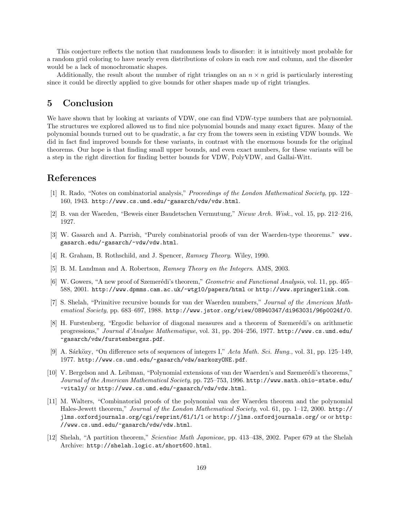This conjecture reflects the notion that randomness leads to disorder: it is intuitively most probable for a random grid coloring to have nearly even distributions of colors in each row and column, and the disorder would be a lack of monochromatic shapes.

Additionally, the result about the number of right triangles on an  $n \times n$  grid is particularly interesting since it could be directly applied to give bounds for other shapes made up of right triangles.

## 5 Conclusion

We have shown that by looking at variants of VDW, one can find VDW-type numbers that are polynomial. The structures we explored allowed us to find nice polynomial bounds and many exact figures. Many of the polynomial bounds turned out to be quadratic, a far cry from the towers seen in existing VDW bounds. We did in fact find improved bounds for these variants, in contrast with the enormous bounds for the original theorems. Our hope is that finding small upper bounds, and even exact numbers, for these variants will be a step in the right direction for finding better bounds for VDW, PolyVDW, and Gallai-Witt.

## References

- [1] R. Rado, "Notes on combinatorial analysis," Proceedings of the London Mathematical Society, pp. 122– 160, 1943. http://www.cs.umd.edu/~gasarch/vdw/vdw.html.
- [2] B. van der Waerden, "Beweis einer Baudetschen Vermutung," Nieuw Arch. Wisk., vol. 15, pp. 212–216, 1927.
- [3] W. Gasarch and A. Parrish, "Purely combinatorial proofs of van der Waerden-type theorems." www. gasarch.edu/~gasarch/~vdw/vdw.html.
- [4] R. Graham, B. Rothschild, and J. Spencer, Ramsey Theory. Wiley, 1990.
- [5] B. M. Landman and A. Robertson, Ramsey Theory on the Integers. AMS, 2003.
- [6] W. Gowers, "A new proof of Szemerédi's theorem," *Geometric and Functional Analysis*, vol. 11, pp. 465– 588, 2001. http://www.dpmms.cam.ac.uk/~wtg10/papers/html or http://www.springerlink.com.
- [7] S. Shelah, "Primitive recursive bounds for van der Waerden numbers," Journal of the American Mathematical Society, pp. 683-697, 1988. http://www.jstor.org/view/08940347/di963031/96p0024f/0.
- [8] H. Furstenberg, "Ergodic behavior of diagonal measures and a theorem of Szemerédi's on arithmetic progressions," Journal d'Analyse Mathematique, vol. 31, pp. 204–256, 1977. http://www.cs.umd.edu/ ~gasarch/vdw/furstenbergsz.pdf.
- [9] A. Sárközy, "On difference sets of sequences of integers I," Acta Math. Sci. Hung., vol. 31, pp. 125–149, 1977. http://www.cs.umd.edu/~gasarch/vdw/sarkozyONE.pdf.
- [10] V. Bergelson and A. Leibman, "Polynomial extensions of van der Waerden's and Szemerédi's theorems," Journal of the American Mathematical Society, pp. 725–753, 1996. http://www.math.ohio-state.edu/ ~vitaly/ or http://www.cs.umd.edu/~gasarch/vdw/vdw.html.
- [11] M. Walters, "Combinatorial proofs of the polynomial van der Waerden theorem and the polynomial Hales-Jewett theorem," Journal of the London Mathematical Society, vol. 61, pp. 1–12, 2000. http:// jlms.oxfordjournals.org/cgi/reprint/61/1/1 or http://jlms.oxfordjournals.org/ or or http: //www.cs.umd.edu/~gasarch/vdw/vdw.html.
- [12] Shelah, "A partition theorem," Scientiae Math Japonicae, pp. 413–438, 2002. Paper 679 at the Shelah Archive: http://shelah.logic.at/short600.html.